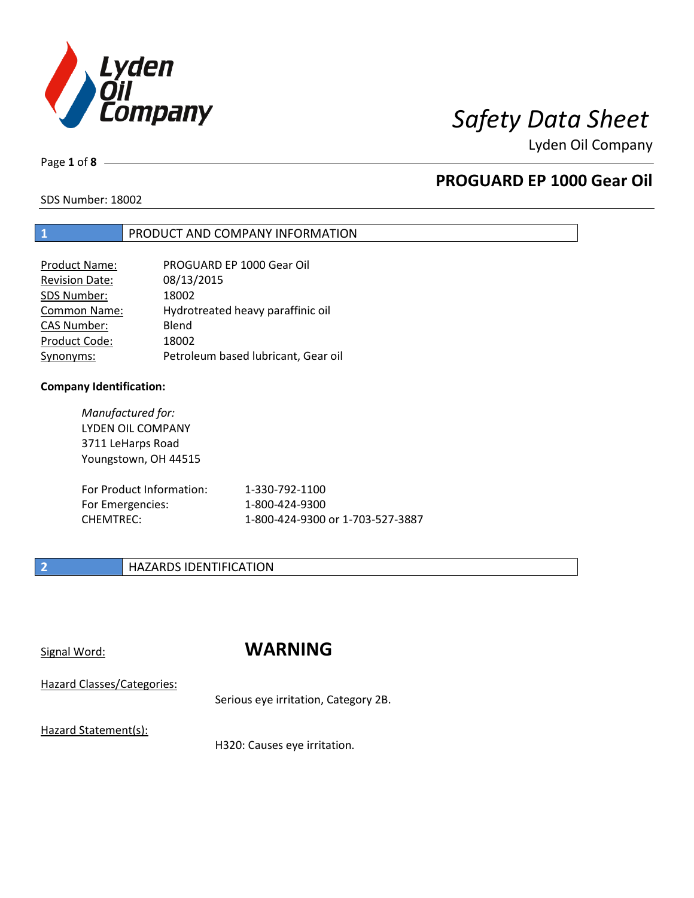

Page **1** of **8**

## **PROGUARD EP 1000 Gear Oil**

SDS Number: 18002

### **1** PRODUCT AND COMPANY INFORMATION

| PROGUARD EP 1000 Gear Oil           |
|-------------------------------------|
| 08/13/2015                          |
| 18002                               |
| Hydrotreated heavy paraffinic oil   |
| Blend                               |
| 18002                               |
| Petroleum based lubricant, Gear oil |
|                                     |

### **Company Identification:**

*Manufactured for:* LYDEN OIL COMPANY 3711 LeHarps Road Youngstown, OH 44515

| For Product Information: | 1-330-792-1100                   |
|--------------------------|----------------------------------|
| For Emergencies:         | 1-800-424-9300                   |
| CHEMTREC:                | 1-800-424-9300 or 1-703-527-3887 |

## **2 HAZARDS IDENTIFICATION**

## Signal Word: **WARNING**

Hazard Classes/Categories:

Serious eye irritation, Category 2B.

Hazard Statement(s):

H320: Causes eye irritation.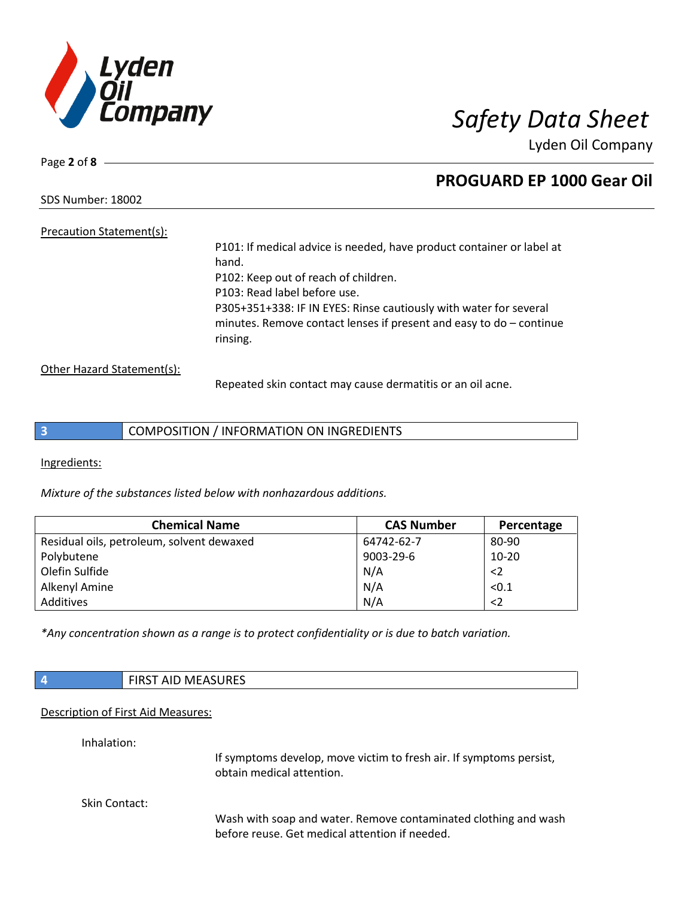

Page **2** of **8**

## **PROGUARD EP 1000 Gear Oil**

SDS Number: 18002

Precaution Statement(s):

P101: If medical advice is needed, have product container or label at hand. P102: Keep out of reach of children. P103: Read label before use. P305+351+338: IF IN EYES: Rinse cautiously with water for several minutes. Remove contact lenses if present and easy to do – continue rinsing.

Other Hazard Statement(s):

Repeated skin contact may cause dermatitis or an oil acne.

Ingredients:

*Mixture of the substances listed below with nonhazardous additions.*

| <b>Chemical Name</b>                      | <b>CAS Number</b> | Percentage |
|-------------------------------------------|-------------------|------------|
| Residual oils, petroleum, solvent dewaxed | 64742-62-7        | 80-90      |
| Polybutene                                | 9003-29-6         | $10-20$    |
| Olefin Sulfide                            | N/A               | $\leq$     |
| Alkenyl Amine                             | N/A               | < 0.1      |
| Additives                                 | N/A               | $<$ 2      |

*\*Any concentration shown as a range is to protect confidentiality or is due to batch variation.*

|             | <b>FIRST AID MEASURES</b>                                                                        |
|-------------|--------------------------------------------------------------------------------------------------|
|             | Description of First Aid Measures:                                                               |
| Inhalation: |                                                                                                  |
|             | If symptoms develop, move victim to fresh air. If symptoms persist,<br>obtain medical attention. |

Skin Contact:

Wash with soap and water. Remove contaminated clothing and wash before reuse. Get medical attention if needed.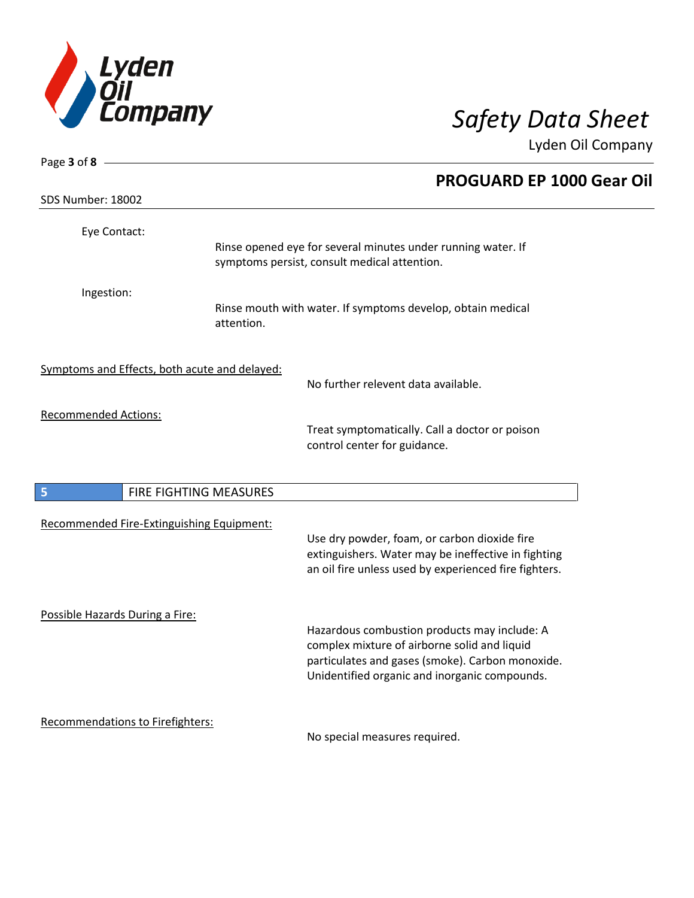

| Page 3 of 8 $-$                               |                        |                                                                                                                                                                                                   |
|-----------------------------------------------|------------------------|---------------------------------------------------------------------------------------------------------------------------------------------------------------------------------------------------|
|                                               |                        | <b>PROGUARD EP 1000 Gear Oil</b>                                                                                                                                                                  |
| SDS Number: 18002                             |                        |                                                                                                                                                                                                   |
| Eye Contact:                                  |                        | Rinse opened eye for several minutes under running water. If<br>symptoms persist, consult medical attention.                                                                                      |
| Ingestion:                                    | attention.             | Rinse mouth with water. If symptoms develop, obtain medical                                                                                                                                       |
| Symptoms and Effects, both acute and delayed: |                        | No further relevent data available.                                                                                                                                                               |
| <b>Recommended Actions:</b>                   |                        | Treat symptomatically. Call a doctor or poison<br>control center for guidance.                                                                                                                    |
| 5                                             | FIRE FIGHTING MEASURES |                                                                                                                                                                                                   |
| Recommended Fire-Extinguishing Equipment:     |                        | Use dry powder, foam, or carbon dioxide fire<br>extinguishers. Water may be ineffective in fighting<br>an oil fire unless used by experienced fire fighters.                                      |
| Possible Hazards During a Fire:               |                        | Hazardous combustion products may include: A<br>complex mixture of airborne solid and liquid<br>particulates and gases (smoke). Carbon monoxide.<br>Unidentified organic and inorganic compounds. |
| Recommendations to Firefighters:              |                        | No special measures required.                                                                                                                                                                     |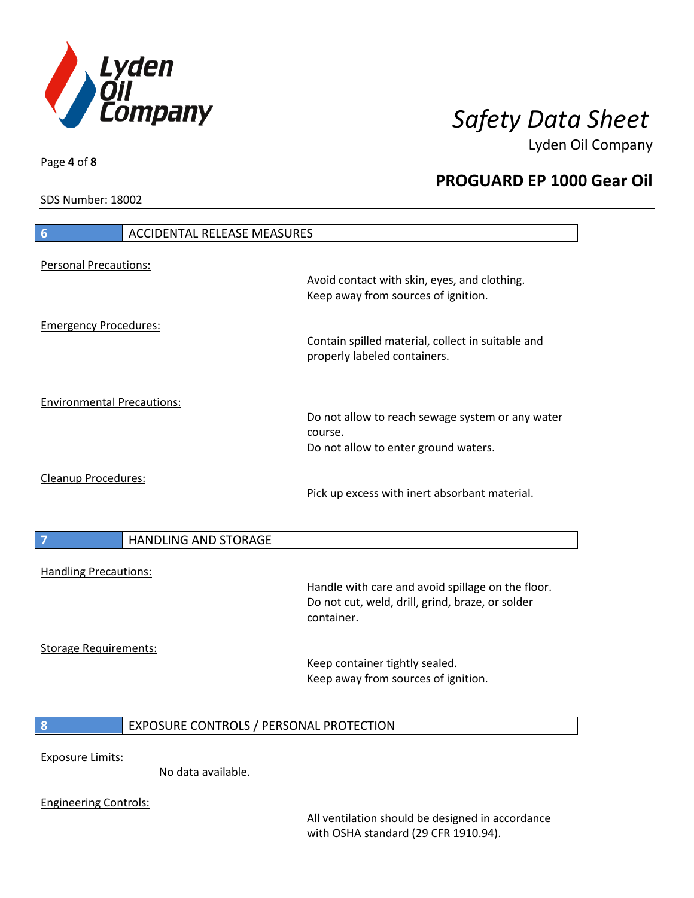

**PROGUARD EP 1000 Gear Oil**

Lyden Oil Company

SDS Number: 18002

Engineering Controls:

# **6** ACCIDENTAL RELEASE MEASURES Personal Precautions: Avoid contact with skin, eyes, and clothing. Keep away from sources of ignition. Emergency Procedures: Contain spilled material, collect in suitable and properly labeled containers. Environmental Precautions: Do not allow to reach sewage system or any water course. Do not allow to enter ground waters. Cleanup Procedures: Pick up excess with inert absorbant material. **7 HANDLING AND STORAGE** Handling Precautions: Handle with care and avoid spillage on the floor. Do not cut, weld, drill, grind, braze, or solder container. Storage Requirements: Keep container tightly sealed. Keep away from sources of ignition. **8** EXPOSURE CONTROLS / PERSONAL PROTECTION Exposure Limits: No data available.

All ventilation should be designed in accordance with OSHA standard (29 CFR 1910.94).

Page **4** of **8**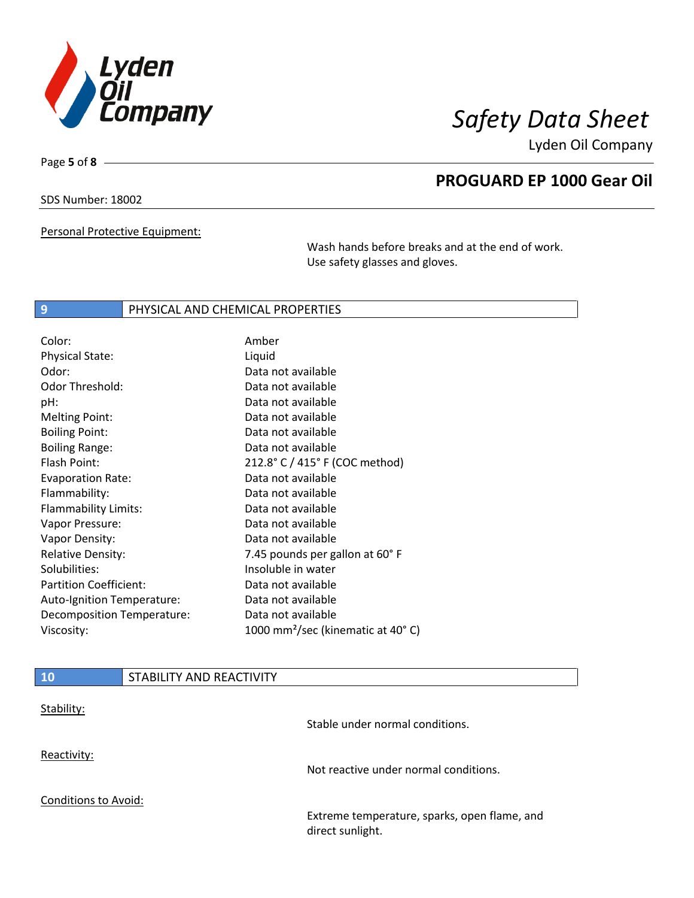

Page **5** of **8**

## **PROGUARD EP 1000 Gear Oil**

SDS Number: 18002

Personal Protective Equipment:

Wash hands before breaks and at the end of work. Use safety glasses and gloves.

### **9** PHYSICAL AND CHEMICAL PROPERTIES

| Liquid<br>Data not available<br>Data not available<br>Data not available |
|--------------------------------------------------------------------------|
|                                                                          |
|                                                                          |
|                                                                          |
|                                                                          |
| Data not available                                                       |
| Data not available                                                       |
| Data not available                                                       |
| 212.8° C / 415° F (COC method)                                           |
| Data not available                                                       |
| Data not available                                                       |
| Data not available                                                       |
| Data not available                                                       |
| Data not available                                                       |
| 7.45 pounds per gallon at 60°F                                           |
| Insoluble in water                                                       |
| Data not available                                                       |
| Data not available                                                       |
| Data not available                                                       |
| 1000 mm <sup>2</sup> /sec (kinematic at 40°C)                            |
|                                                                          |

| <b>10</b>                   | STABILITY AND REACTIVITY |                                                                  |
|-----------------------------|--------------------------|------------------------------------------------------------------|
| Stability:                  |                          | Stable under normal conditions.                                  |
| Reactivity:                 |                          | Not reactive under normal conditions.                            |
| <b>Conditions to Avoid:</b> |                          |                                                                  |
|                             |                          | Extreme temperature, sparks, open flame, and<br>direct sunlight. |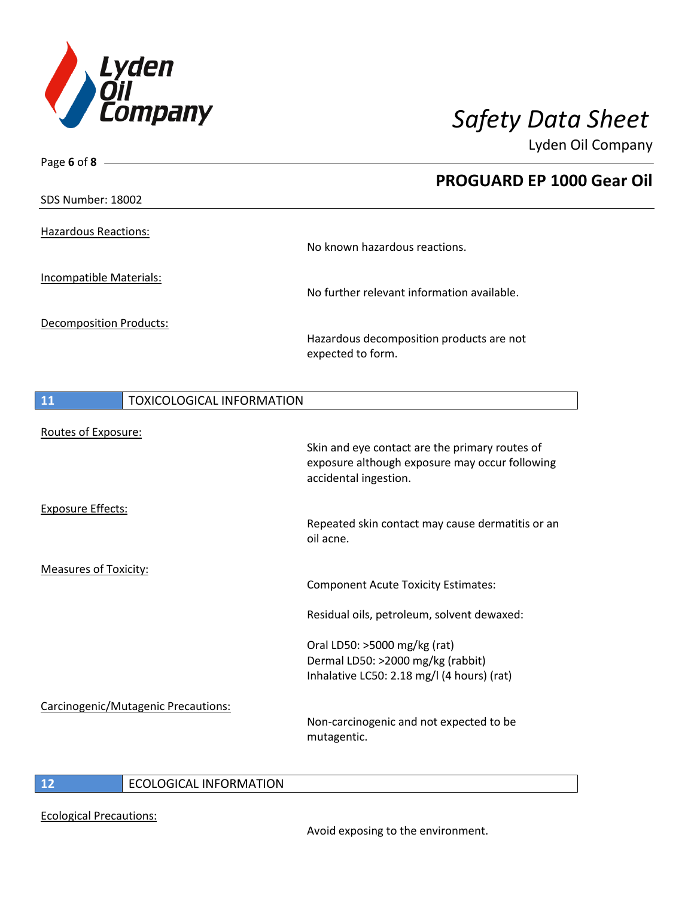

| Page 6 of 8 $-$                     |                                                                                                                           |
|-------------------------------------|---------------------------------------------------------------------------------------------------------------------------|
|                                     | <b>PROGUARD EP 1000 Gear Oil</b>                                                                                          |
| SDS Number: 18002                   |                                                                                                                           |
| <b>Hazardous Reactions:</b>         | No known hazardous reactions.                                                                                             |
| <b>Incompatible Materials:</b>      | No further relevant information available.                                                                                |
| <b>Decomposition Products:</b>      | Hazardous decomposition products are not<br>expected to form.                                                             |
| TOXICOLOGICAL INFORMATION<br>11     |                                                                                                                           |
| Routes of Exposure:                 | Skin and eye contact are the primary routes of<br>exposure although exposure may occur following<br>accidental ingestion. |
| <b>Exposure Effects:</b>            | Repeated skin contact may cause dermatitis or an<br>oil acne.                                                             |
| <b>Measures of Toxicity:</b>        | <b>Component Acute Toxicity Estimates:</b>                                                                                |
|                                     | Residual oils, petroleum, solvent dewaxed:                                                                                |
|                                     | Oral LD50: >5000 mg/kg (rat)<br>Dermal LD50: >2000 mg/kg (rabbit)<br>Inhalative LC50: 2.18 mg/l (4 hours) (rat)           |
| Carcinogenic/Mutagenic Precautions: | Non-carcinogenic and not expected to be<br>mutagentic.                                                                    |

## **12** ECOLOGICAL INFORMATION

Ecological Precautions: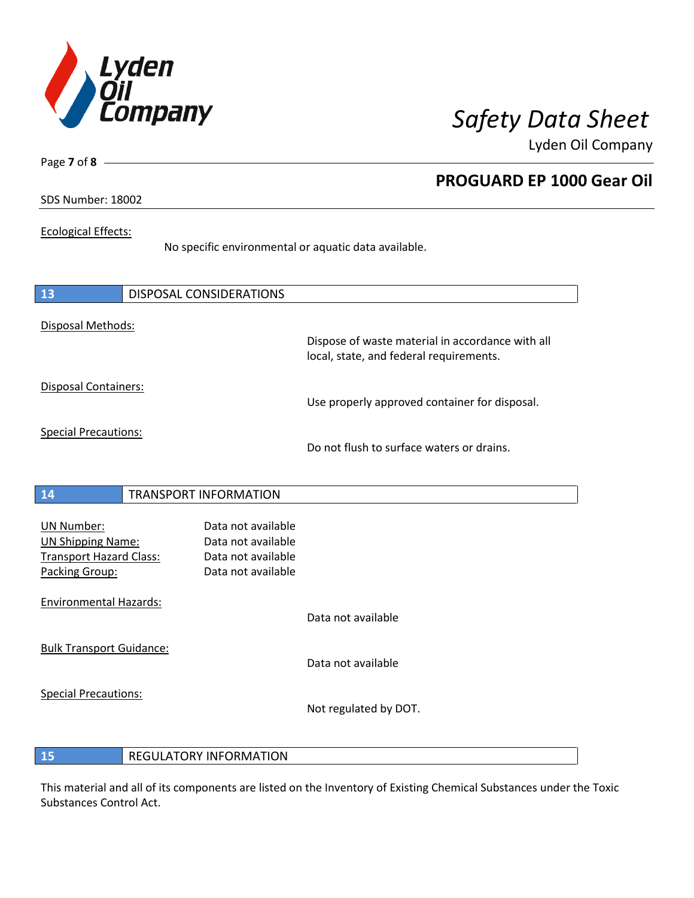

**PROGUARD EP 1000 Gear Oil**

Lyden Oil Company

SDS Number: 18002

Page **7** of **8**

### Ecological Effects:

No specific environmental or aquatic data available.

| 13                                                                                                | <b>DISPOSAL CONSIDERATIONS</b>                                                       |                                                                                             |
|---------------------------------------------------------------------------------------------------|--------------------------------------------------------------------------------------|---------------------------------------------------------------------------------------------|
| Disposal Methods:                                                                                 |                                                                                      | Dispose of waste material in accordance with all<br>local, state, and federal requirements. |
| Disposal Containers:                                                                              |                                                                                      | Use properly approved container for disposal.                                               |
| <b>Special Precautions:</b>                                                                       |                                                                                      | Do not flush to surface waters or drains.                                                   |
| 14                                                                                                | <b>TRANSPORT INFORMATION</b>                                                         |                                                                                             |
| <b>UN Number:</b><br><b>UN Shipping Name:</b><br><b>Transport Hazard Class:</b><br>Packing Group: | Data not available<br>Data not available<br>Data not available<br>Data not available |                                                                                             |
| <b>Environmental Hazards:</b>                                                                     |                                                                                      | Data not available                                                                          |
| <b>Bulk Transport Guidance:</b>                                                                   |                                                                                      | Data not available                                                                          |
| <b>Special Precautions:</b>                                                                       |                                                                                      | Not regulated by DOT.                                                                       |

### **15** REGULATORY INFORMATION

This material and all of its components are listed on the Inventory of Existing Chemical Substances under the Toxic Substances Control Act.